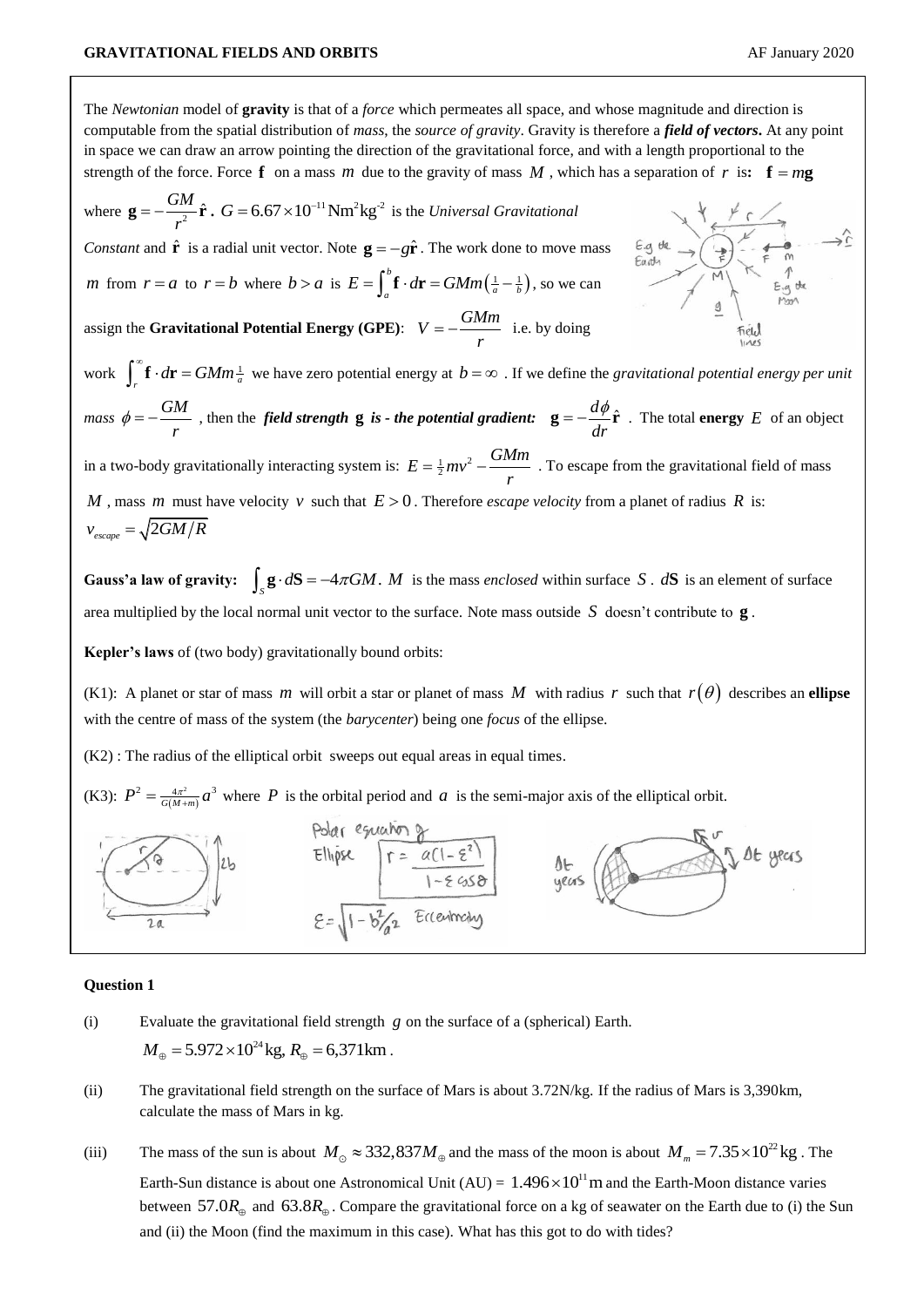The *Newtonian* model of **gravity** is that of a *force* which permeates all space, and whose magnitude and direction is computable from the spatial distribution of *mass*, the *source of gravity*. Gravity is therefore a *field of vectors***.** At any point in space we can draw an arrow pointing the direction of the gravitational force, and with a length proportional to the strength of the force. Force  $f$  on a mass m due to the gravity of mass M, which has a separation of r is:  $f = mg$ where  $\mathbf{g} = -\frac{GM}{r^2} \hat{\mathbf{r}}$ ,  $G = 6.67 \times 10^{-11} \text{Nm}^2 \text{kg}^{-2}$  is the *Universal Gravitational r Constant* and  $\hat{\bf r}$  is a radial unit vector. Note  ${\bf g} = -g\hat{\bf r}$ . The work done to move mass *m* from  $r = a$  to  $r = b$  where  $b > a$  is  $E = \int_a^b \mathbf{f} \cdot d\mathbf{r} = GMm\left(\frac{1}{a} - \frac{1}{b}\right)$  $E = \int_a^b \mathbf{f} \cdot d\mathbf{r} = GMm\left(\frac{1}{a} - \frac{1}{b}\right)$ , so we can assign the **Gravitational Potential Energy** (GPE):  $V = -\frac{GMm}{r}$ *r*  $=-\frac{9nm}{\pi}$  i.e. by doing work  $\int_r^{\infty} \mathbf{f} \cdot d\mathbf{r} = GMm \frac{1}{a}$  we have zero potential energy at  $b = \infty$ . If we define the *gravitational potential energy per unit mass*  $\phi = -\frac{GM}{\hbar^2}$ *r*  $\phi = -\frac{GM}{r}$ , then the *field strength* **g** is - *the potential gradient*: **g** =  $-\frac{d\phi}{r}$ **r** *dr*  $\mathbf{g} = -\frac{d\phi}{dt}\hat{\mathbf{r}}$ . The total **energy** E of an object in a two-body gravitationally interacting system is:  $E = \frac{1}{2}mv^2 - \frac{GMm}{r^2}$ *r*  $=\frac{1}{2}mv^2 - \frac{G N I m}{2}$ . To escape from the gravitational field of mass *M*, mass *m* must have velocity *v* such that  $E > 0$ . Therefore *escape velocity* from a planet of radius *R* is:  $v_{\textit{escape}} = \sqrt{2GM/R}$ 

**Gauss'a law of gravity:**  $\int_{S} \mathbf{g} \cdot d\mathbf{S} = -4\pi GM$ . *M* is the mass *enclosed* within surface *S*. *d***S** is an element of surface area multiplied by the local normal unit vector to the surface. Note mass outside *S* doesn't contribute to **g** .

**Kepler's laws** of (two body) gravitationally bound orbits:

(K1): A planet or star of mass m will orbit a star or planet of mass M with radius r such that  $r(\theta)$  describes an ellipse with the centre of mass of the system (the *barycenter*) being one *focus* of the ellipse.

(K2) : The radius of the elliptical orbit sweeps out equal areas in equal times.

(K3):  $P^2 = \frac{4\pi^2}{G(M+m)}$  $P^2 = \frac{4\pi^2}{G(M+m)} a^3$  where P is the orbital period and a is the semi-major axis of the elliptical orbit.



## **Question 1**

- (i) Evaluate the gravitational field strength *g* on the surface of a (spherical) Earth.  $M_{\odot} = 5.972 \times 10^{24}$  kg,  $R_{\odot} = 6,371$  km.
- (ii) The gravitational field strength on the surface of Mars is about 3.72N/kg. If the radius of Mars is 3,390km, calculate the mass of Mars in kg.
- (iii) The mass of the sun is about  $M_{\odot} \approx 332,837 M_{\oplus}$  and the mass of the moon is about  $M_{m} = 7.35 \times 10^{22}$  kg. The Earth-Sun distance is about one Astronomical Unit  $(AU) = 1.496 \times 10^{11}$  m and the Earth-Moon distance varies between  $57.0R_{\oplus}$  and  $63.8R_{\oplus}$ . Compare the gravitational force on a kg of seawater on the Earth due to (i) the Sun and (ii) the Moon (find the maximum in this case). What has this got to do with tides?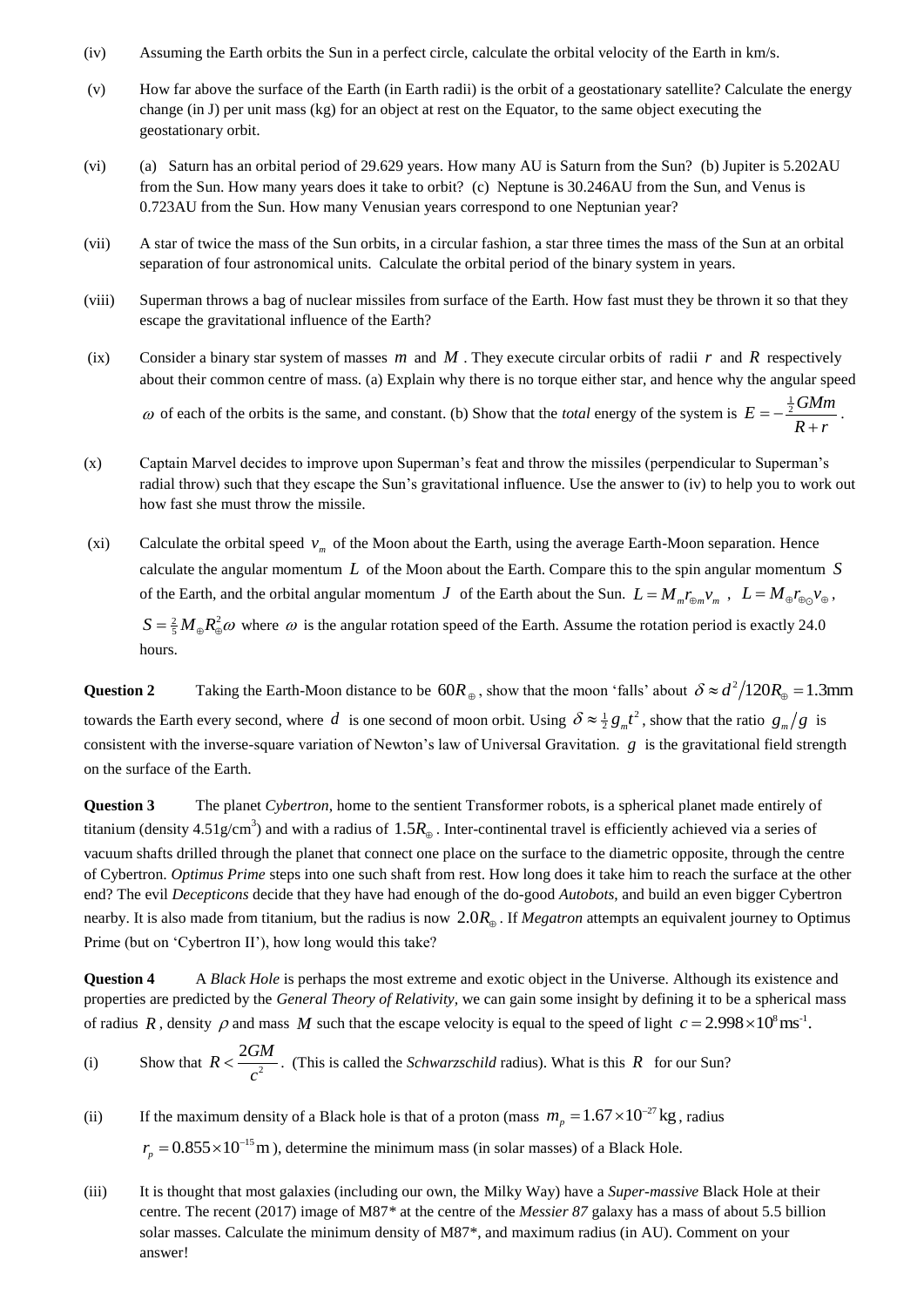- (iv) Assuming the Earth orbits the Sun in a perfect circle, calculate the orbital velocity of the Earth in km/s.
- (v) How far above the surface of the Earth (in Earth radii) is the orbit of a geostationary satellite? Calculate the energy change (in J) per unit mass (kg) for an object at rest on the Equator, to the same object executing the geostationary orbit.
- (vi) (a) Saturn has an orbital period of 29.629 years. How many AU is Saturn from the Sun? (b) Jupiter is 5.202AU from the Sun. How many years does it take to orbit? (c) Neptune is 30.246AU from the Sun, and Venus is 0.723AU from the Sun. How many Venusian years correspond to one Neptunian year?
- (vii) A star of twice the mass of the Sun orbits, in a circular fashion, a star three times the mass of the Sun at an orbital separation of four astronomical units. Calculate the orbital period of the binary system in years.
- (viii) Superman throws a bag of nuclear missiles from surface of the Earth. How fast must they be thrown it so that they escape the gravitational influence of the Earth?
- (ix) Consider a binary star system of masses  $m$  and  $M$ . They execute circular orbits of radii  $r$  and  $R$  respectively about their common centre of mass. (a) Explain why there is no torque either star, and hence why the angular speed  $\omega$  of each of the orbits is the same, and constant. (b) Show that the *total* energy of the system is  $E = -\frac{1}{2}GMm$  $R + r$  $= \frac{m}{r}$ .
- (x) Captain Marvel decides to improve upon Superman's feat and throw the missiles (perpendicular to Superman's radial throw) such that they escape the Sun's gravitational influence. Use the answer to (iv) to help you to work out how fast she must throw the missile.
- (xi) Calculate the orbital speed  $v_m$  of the Moon about the Earth, using the average Earth-Moon separation. Hence calculate the angular momentum *L* of the Moon about the Earth. Compare this to the spin angular momentum *S* of the Earth, and the orbital angular momentum *J* of the Earth about the Sun.  $L = M_m r_{\oplus m} v_m$ ,  $L = M_{\oplus} r_{\oplus \odot} v_{\oplus}$ ,  $S = \frac{2}{5} M_{\oplus} R_{\oplus}^2 \omega$  where  $\omega$  is the angular rotation speed of the Earth. Assume the rotation period is exactly 24.0

hours.

**Question 2** Taking the Earth-Moon distance to be  $60R_{\oplus}$ , show that the moon 'falls' about  $\delta \approx d^2/120R_{\oplus} = 1.3$ mm towards the Earth every second, where d is one second of moon orbit. Using  $\delta \approx \frac{1}{2} g_m t^2$ , show that the ratio  $g_m/g$  is consistent with the inverse-square variation of Newton's law of Universal Gravitation. *g* is the gravitational field strength on the surface of the Earth.

**Question 3** The planet *Cybertron*, home to the sentient Transformer robots, is a spherical planet made entirely of titanium (density  $4.51$ g/cm<sup>3</sup>) and with a radius of  $1.5R_{\oplus}$ . Inter-continental travel is efficiently achieved via a series of vacuum shafts drilled through the planet that connect one place on the surface to the diametric opposite, through the centre of Cybertron. *Optimus Prime* steps into one such shaft from rest. How long does it take him to reach the surface at the other end? The evil *Decepticons* decide that they have had enough of the do-good *Autobots*, and build an even bigger Cybertron nearby. It is also made from titanium, but the radius is now 2.0*R* . If *Megatron* attempts an equivalent journey to Optimus Prime (but on 'Cybertron II'), how long would this take?

**Question 4** A *Black Hole* is perhaps the most extreme and exotic object in the Universe. Although its existence and properties are predicted by the *General Theory of Relativity,* we can gain some insight by defining it to be a spherical mass of radius R, density  $\rho$  and mass M such that the escape velocity is equal to the speed of light  $c = 2.998 \times 10^8 \text{ ms}^{-1}$ .

- (i) Show that  $R < \frac{2GM}{a^2}$ *c*  $\leq \frac{2GM}{r^2}$ . (This is called the *Schwarzschild* radius). What is this R for our Sun?
- (ii) If the maximum density of a Black hole is that of a proton (mass  $m_p = 1.67 \times 10^{-27}$  kg, radius

 $r_p = 0.855 \times 10^{-15}$  m), determine the minimum mass (in solar masses) of a Black Hole.

(iii) It is thought that most galaxies (including our own, the Milky Way) have a *Super-massive* Black Hole at their centre. The recent (2017) image of M87*\** at the centre of the *Messier 87* galaxy has a mass of about 5.5 billion solar masses. Calculate the minimum density of M87\*, and maximum radius (in AU). Comment on your answer!